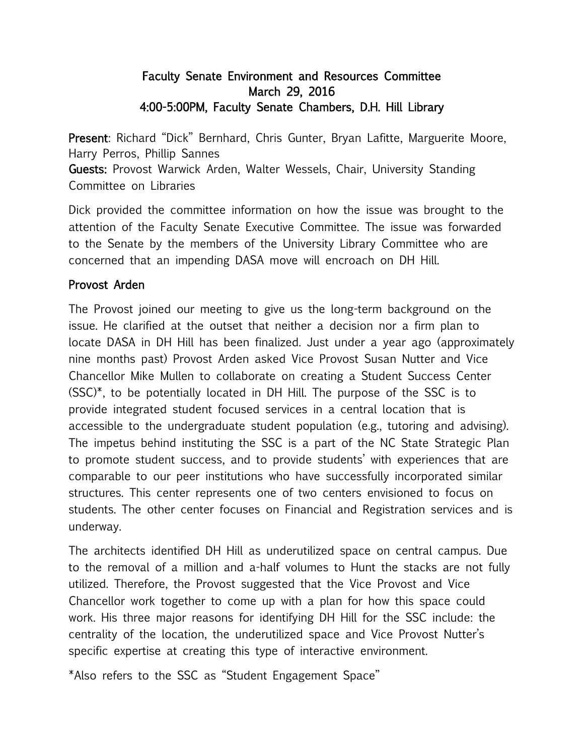## Faculty Senate Environment and Resources Committee March 29, 2016 4:00-5:00PM, Faculty Senate Chambers, D.H. Hill Library

Present: Richard "Dick" Bernhard, Chris Gunter, Bryan Lafitte, Marguerite Moore, Harry Perros, Phillip Sannes

Guests: Provost Warwick Arden, Walter Wessels, Chair, University Standing Committee on Libraries

Dick provided the committee information on how the issue was brought to the attention of the Faculty Senate Executive Committee. The issue was forwarded to the Senate by the members of the University Library Committee who are concerned that an impending DASA move will encroach on DH Hill.

## Provost Arden

The Provost joined our meeting to give us the long-term background on the issue. He clarified at the outset that neither a decision nor a firm plan to locate DASA in DH Hill has been finalized. Just under a year ago (approximately nine months past) Provost Arden asked Vice Provost Susan Nutter and Vice Chancellor Mike Mullen to collaborate on creating a Student Success Center (SSC)\*, to be potentially located in DH Hill. The purpose of the SSC is to provide integrated student focused services in a central location that is accessible to the undergraduate student population (e.g., tutoring and advising). The impetus behind instituting the SSC is a part of the NC State Strategic Plan to promote student success, and to provide students' with experiences that are comparable to our peer institutions who have successfully incorporated similar structures. This center represents one of two centers envisioned to focus on students. The other center focuses on Financial and Registration services and is underway.

The architects identified DH Hill as underutilized space on central campus. Due to the removal of a million and a-half volumes to Hunt the stacks are not fully utilized. Therefore, the Provost suggested that the Vice Provost and Vice Chancellor work together to come up with a plan for how this space could work. His three major reasons for identifying DH Hill for the SSC include: the centrality of the location, the underutilized space and Vice Provost Nutter's specific expertise at creating this type of interactive environment.

\*Also refers to the SSC as "Student Engagement Space"